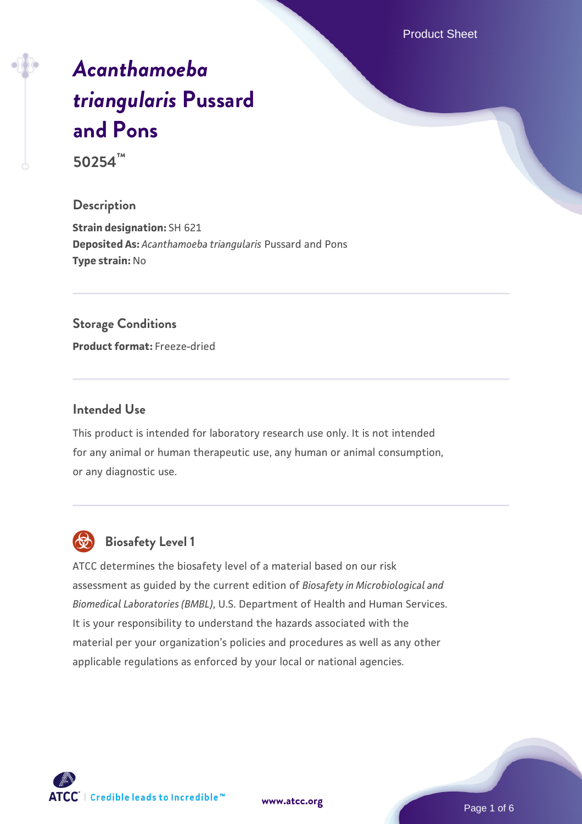Product Sheet

# *[Acanthamoeba](https://www.atcc.org/products/50254) [triangularis](https://www.atcc.org/products/50254)* **[Pussard](https://www.atcc.org/products/50254) [and Pons](https://www.atcc.org/products/50254)**

**50254™**

# **Description**

**Strain designation:** SH 621 **Deposited As:** *Acanthamoeba triangularis* Pussard and Pons **Type strain:** No

## **Storage Conditions**

**Product format:** Freeze-dried

## **Intended Use**

This product is intended for laboratory research use only. It is not intended for any animal or human therapeutic use, any human or animal consumption, or any diagnostic use.



# **Biosafety Level 1**

ATCC determines the biosafety level of a material based on our risk assessment as guided by the current edition of *Biosafety in Microbiological and Biomedical Laboratories (BMBL)*, U.S. Department of Health and Human Services. It is your responsibility to understand the hazards associated with the material per your organization's policies and procedures as well as any other applicable regulations as enforced by your local or national agencies.

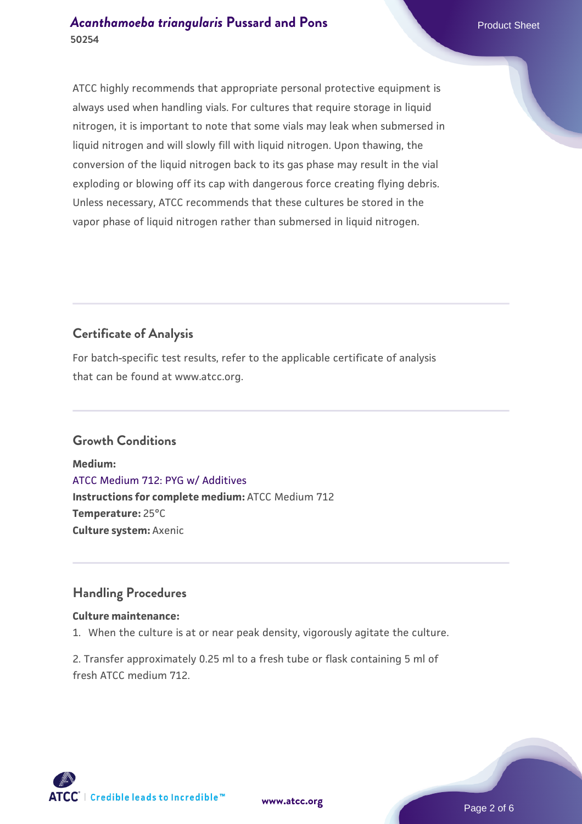# *[Acanthamoeba triangularis](https://www.atcc.org/products/50254)* [Pussard and Pons](https://www.atcc.org/products/50254) Product Sheet **50254**

ATCC highly recommends that appropriate personal protective equipment is always used when handling vials. For cultures that require storage in liquid nitrogen, it is important to note that some vials may leak when submersed in liquid nitrogen and will slowly fill with liquid nitrogen. Upon thawing, the conversion of the liquid nitrogen back to its gas phase may result in the vial exploding or blowing off its cap with dangerous force creating flying debris. Unless necessary, ATCC recommends that these cultures be stored in the vapor phase of liquid nitrogen rather than submersed in liquid nitrogen.

# **Certificate of Analysis**

For batch-specific test results, refer to the applicable certificate of analysis that can be found at www.atcc.org.

# **Growth Conditions**

**Medium:**  [ATCC Medium 712: PYG w/ Additives](https://www.atcc.org/-/media/product-assets/documents/microbial-media-formulations/7/1/2/atcc-medium-712.pdf?rev=7a3975f3ced8477999762ca76164fb74) **Instructions for complete medium:** ATCC Medium 712 **Temperature:** 25°C **Culture system:** Axenic

## **Handling Procedures**

## **Culture maintenance:**

1. When the culture is at or near peak density, vigorously agitate the culture.

2. Transfer approximately 0.25 ml to a fresh tube or flask containing 5 ml of fresh ATCC medium 712.





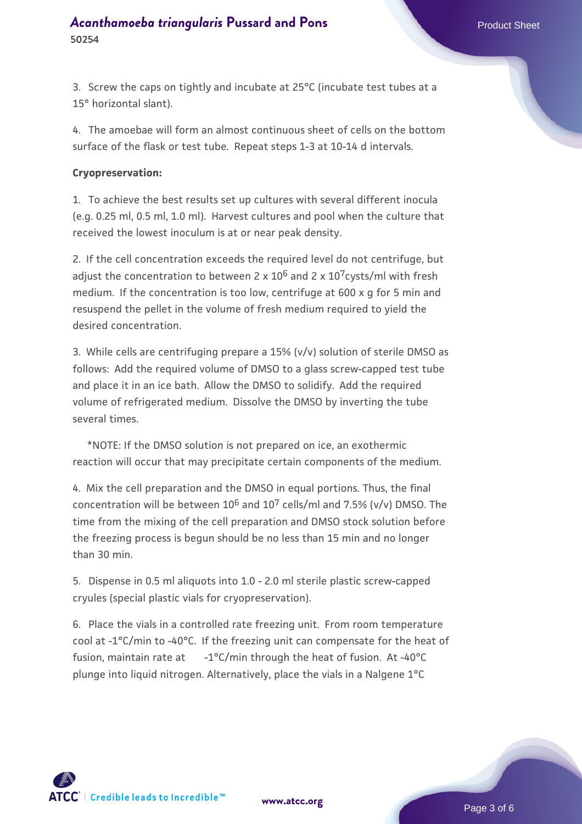3. Screw the caps on tightly and incubate at 25°C (incubate test tubes at a 15° horizontal slant).

4. The amoebae will form an almost continuous sheet of cells on the bottom surface of the flask or test tube. Repeat steps 1-3 at 10-14 d intervals.

#### **Cryopreservation:**

1. To achieve the best results set up cultures with several different inocula (e.g. 0.25 ml, 0.5 ml, 1.0 ml). Harvest cultures and pool when the culture that received the lowest inoculum is at or near peak density.

2. If the cell concentration exceeds the required level do not centrifuge, but adjust the concentration to between 2 x  $10^6$  and 2 x  $10^7$ cysts/ml with fresh medium. If the concentration is too low, centrifuge at 600 x g for 5 min and resuspend the pellet in the volume of fresh medium required to yield the desired concentration.

3. While cells are centrifuging prepare a 15% (v/v) solution of sterile DMSO as follows: Add the required volume of DMSO to a glass screw-capped test tube and place it in an ice bath. Allow the DMSO to solidify. Add the required volume of refrigerated medium. Dissolve the DMSO by inverting the tube several times.

 \*NOTE: If the DMSO solution is not prepared on ice, an exothermic reaction will occur that may precipitate certain components of the medium.

4. Mix the cell preparation and the DMSO in equal portions. Thus, the final concentration will be between  $10^6$  and  $10^7$  cells/ml and 7.5% (v/v) DMSO. The time from the mixing of the cell preparation and DMSO stock solution before the freezing process is begun should be no less than 15 min and no longer than 30 min.

5. Dispense in 0.5 ml aliquots into 1.0 - 2.0 ml sterile plastic screw-capped cryules (special plastic vials for cryopreservation).

6. Place the vials in a controlled rate freezing unit. From room temperature cool at -1°C/min to -40°C. If the freezing unit can compensate for the heat of fusion, maintain rate at  $-1^{\circ}C/min$  through the heat of fusion. At -40 $^{\circ}C$ plunge into liquid nitrogen. Alternatively, place the vials in a Nalgene 1°C



**[www.atcc.org](http://www.atcc.org)**

Page 3 of 6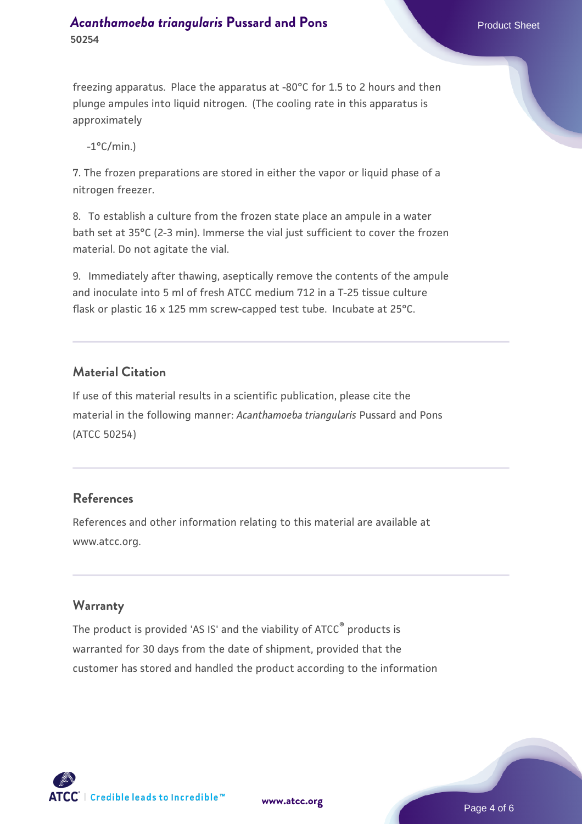# *[Acanthamoeba triangularis](https://www.atcc.org/products/50254)* [Pussard and Pons](https://www.atcc.org/products/50254) Product Sheet **50254**

freezing apparatus. Place the apparatus at -80°C for 1.5 to 2 hours and then plunge ampules into liquid nitrogen. (The cooling rate in this apparatus is approximately

 $-1$ °C/min.)

7. The frozen preparations are stored in either the vapor or liquid phase of a nitrogen freezer.

8. To establish a culture from the frozen state place an ampule in a water bath set at 35°C (2-3 min). Immerse the vial just sufficient to cover the frozen material. Do not agitate the vial.

9. Immediately after thawing, aseptically remove the contents of the ampule and inoculate into 5 ml of fresh ATCC medium 712 in a T-25 tissue culture flask or plastic 16 x 125 mm screw-capped test tube. Incubate at 25°C.

# **Material Citation**

If use of this material results in a scientific publication, please cite the material in the following manner: *Acanthamoeba triangularis* Pussard and Pons (ATCC 50254)

## **References**

References and other information relating to this material are available at www.atcc.org.

## **Warranty**

The product is provided 'AS IS' and the viability of ATCC<sup>®</sup> products is warranted for 30 days from the date of shipment, provided that the customer has stored and handled the product according to the information



**[www.atcc.org](http://www.atcc.org)**

Page 4 of 6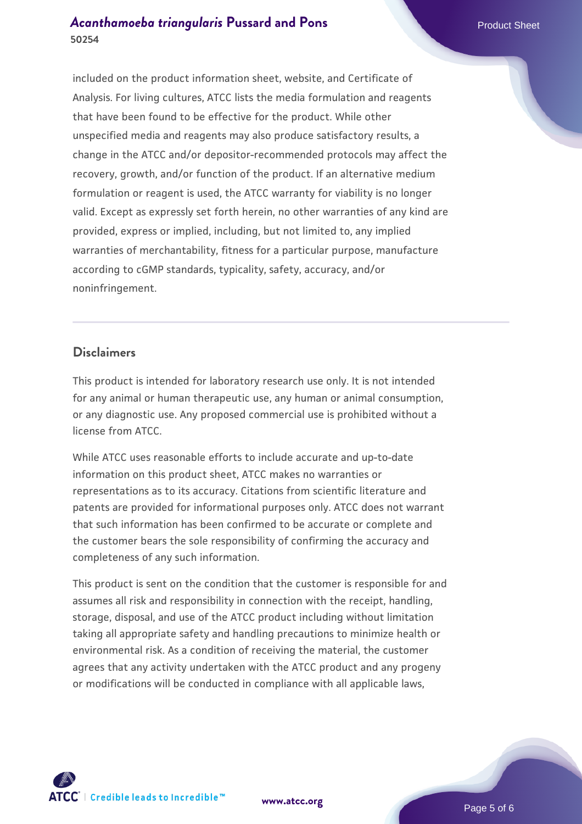# *[Acanthamoeba triangularis](https://www.atcc.org/products/50254)* [Pussard and Pons](https://www.atcc.org/products/50254) Product Sheet **50254**

included on the product information sheet, website, and Certificate of Analysis. For living cultures, ATCC lists the media formulation and reagents that have been found to be effective for the product. While other unspecified media and reagents may also produce satisfactory results, a change in the ATCC and/or depositor-recommended protocols may affect the recovery, growth, and/or function of the product. If an alternative medium formulation or reagent is used, the ATCC warranty for viability is no longer valid. Except as expressly set forth herein, no other warranties of any kind are provided, express or implied, including, but not limited to, any implied warranties of merchantability, fitness for a particular purpose, manufacture according to cGMP standards, typicality, safety, accuracy, and/or noninfringement.

## **Disclaimers**

This product is intended for laboratory research use only. It is not intended for any animal or human therapeutic use, any human or animal consumption, or any diagnostic use. Any proposed commercial use is prohibited without a license from ATCC.

While ATCC uses reasonable efforts to include accurate and up-to-date information on this product sheet, ATCC makes no warranties or representations as to its accuracy. Citations from scientific literature and patents are provided for informational purposes only. ATCC does not warrant that such information has been confirmed to be accurate or complete and the customer bears the sole responsibility of confirming the accuracy and completeness of any such information.

This product is sent on the condition that the customer is responsible for and assumes all risk and responsibility in connection with the receipt, handling, storage, disposal, and use of the ATCC product including without limitation taking all appropriate safety and handling precautions to minimize health or environmental risk. As a condition of receiving the material, the customer agrees that any activity undertaken with the ATCC product and any progeny or modifications will be conducted in compliance with all applicable laws,



**[www.atcc.org](http://www.atcc.org)**

Page 5 of 6